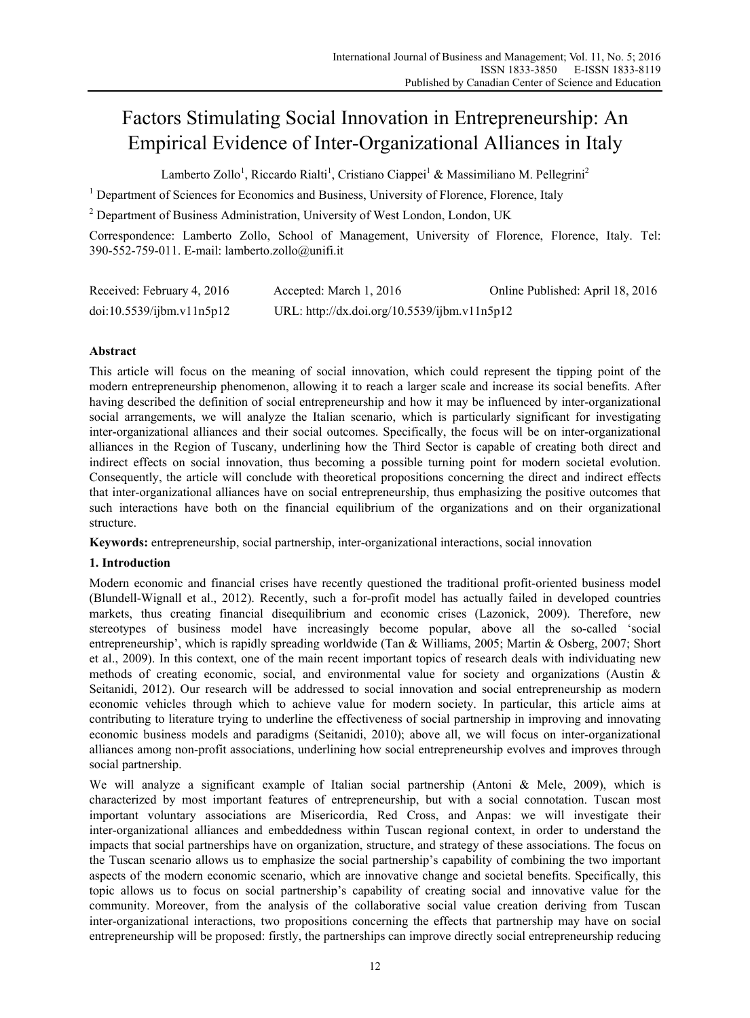# Factors Stimulating Social Innovation in Entrepreneurship: An Empirical Evidence of Inter-Organizational Alliances in Italy

Lamberto Zollo<sup>1</sup>, Riccardo Rialti<sup>1</sup>, Cristiano Ciappei<sup>1</sup> & Massimiliano M. Pellegrini<sup>2</sup>

<sup>1</sup> Department of Sciences for Economics and Business, University of Florence, Florence, Italy

 $2^2$  Department of Business Administration, University of West London, London, UK

Correspondence: Lamberto Zollo, School of Management, University of Florence, Florence, Italy. Tel: 390-552-759-011. E-mail: lamberto.zollo@unifi.it

| Received: February 4, 2016 | Accepted: March 1, 2016                      | Online Published: April 18, 2016 |
|----------------------------|----------------------------------------------|----------------------------------|
| doi:10.5539/ijbm.v11n5p12  | URL: http://dx.doi.org/10.5539/ijbm.v11n5p12 |                                  |

# **Abstract**

This article will focus on the meaning of social innovation, which could represent the tipping point of the modern entrepreneurship phenomenon, allowing it to reach a larger scale and increase its social benefits. After having described the definition of social entrepreneurship and how it may be influenced by inter-organizational social arrangements, we will analyze the Italian scenario, which is particularly significant for investigating inter-organizational alliances and their social outcomes. Specifically, the focus will be on inter-organizational alliances in the Region of Tuscany, underlining how the Third Sector is capable of creating both direct and indirect effects on social innovation, thus becoming a possible turning point for modern societal evolution. Consequently, the article will conclude with theoretical propositions concerning the direct and indirect effects that inter-organizational alliances have on social entrepreneurship, thus emphasizing the positive outcomes that such interactions have both on the financial equilibrium of the organizations and on their organizational structure.

**Keywords:** entrepreneurship, social partnership, inter-organizational interactions, social innovation

## **1. Introduction**

Modern economic and financial crises have recently questioned the traditional profit-oriented business model (Blundell-Wignall et al., 2012). Recently, such a for-profit model has actually failed in developed countries markets, thus creating financial disequilibrium and economic crises (Lazonick, 2009). Therefore, new stereotypes of business model have increasingly become popular, above all the so-called 'social entrepreneurship', which is rapidly spreading worldwide (Tan & Williams, 2005; Martin & Osberg, 2007; Short et al., 2009). In this context, one of the main recent important topics of research deals with individuating new methods of creating economic, social, and environmental value for society and organizations (Austin & Seitanidi, 2012). Our research will be addressed to social innovation and social entrepreneurship as modern economic vehicles through which to achieve value for modern society. In particular, this article aims at contributing to literature trying to underline the effectiveness of social partnership in improving and innovating economic business models and paradigms (Seitanidi, 2010); above all, we will focus on inter-organizational alliances among non-profit associations, underlining how social entrepreneurship evolves and improves through social partnership.

We will analyze a significant example of Italian social partnership (Antoni & Mele, 2009), which is characterized by most important features of entrepreneurship, but with a social connotation. Tuscan most important voluntary associations are Misericordia, Red Cross, and Anpas: we will investigate their inter-organizational alliances and embeddedness within Tuscan regional context, in order to understand the impacts that social partnerships have on organization, structure, and strategy of these associations. The focus on the Tuscan scenario allows us to emphasize the social partnership's capability of combining the two important aspects of the modern economic scenario, which are innovative change and societal benefits. Specifically, this topic allows us to focus on social partnership's capability of creating social and innovative value for the community. Moreover, from the analysis of the collaborative social value creation deriving from Tuscan inter-organizational interactions, two propositions concerning the effects that partnership may have on social entrepreneurship will be proposed: firstly, the partnerships can improve directly social entrepreneurship reducing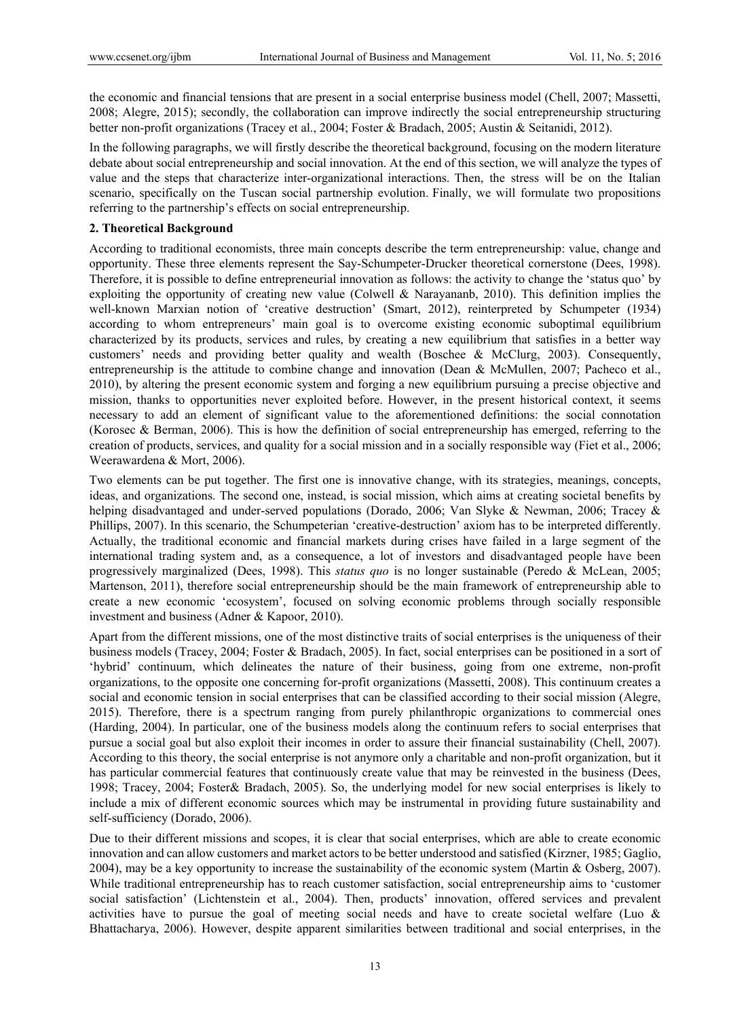the economic and financial tensions that are present in a social enterprise business model (Chell, 2007; Massetti, 2008; Alegre, 2015); secondly, the collaboration can improve indirectly the social entrepreneurship structuring better non-profit organizations (Tracey et al., 2004; Foster & Bradach, 2005; Austin & Seitanidi, 2012).

In the following paragraphs, we will firstly describe the theoretical background, focusing on the modern literature debate about social entrepreneurship and social innovation. At the end of this section, we will analyze the types of value and the steps that characterize inter-organizational interactions. Then, the stress will be on the Italian scenario, specifically on the Tuscan social partnership evolution. Finally, we will formulate two propositions referring to the partnership's effects on social entrepreneurship.

#### **2. Theoretical Background**

According to traditional economists, three main concepts describe the term entrepreneurship: value, change and opportunity. These three elements represent the Say-Schumpeter-Drucker theoretical cornerstone (Dees, 1998). Therefore, it is possible to define entrepreneurial innovation as follows: the activity to change the 'status quo' by exploiting the opportunity of creating new value (Colwell & Narayananb, 2010). This definition implies the well-known Marxian notion of 'creative destruction' (Smart, 2012), reinterpreted by Schumpeter (1934) according to whom entrepreneurs' main goal is to overcome existing economic suboptimal equilibrium characterized by its products, services and rules, by creating a new equilibrium that satisfies in a better way customers' needs and providing better quality and wealth (Boschee & McClurg, 2003). Consequently, entrepreneurship is the attitude to combine change and innovation (Dean & McMullen, 2007; Pacheco et al., 2010), by altering the present economic system and forging a new equilibrium pursuing a precise objective and mission, thanks to opportunities never exploited before. However, in the present historical context, it seems necessary to add an element of significant value to the aforementioned definitions: the social connotation (Korosec & Berman, 2006). This is how the definition of social entrepreneurship has emerged, referring to the creation of products, services, and quality for a social mission and in a socially responsible way (Fiet et al., 2006; Weerawardena & Mort, 2006).

Two elements can be put together. The first one is innovative change, with its strategies, meanings, concepts, ideas, and organizations. The second one, instead, is social mission, which aims at creating societal benefits by helping disadvantaged and under-served populations (Dorado, 2006; Van Slyke & Newman, 2006; Tracey & Phillips, 2007). In this scenario, the Schumpeterian 'creative-destruction' axiom has to be interpreted differently. Actually, the traditional economic and financial markets during crises have failed in a large segment of the international trading system and, as a consequence, a lot of investors and disadvantaged people have been progressively marginalized (Dees, 1998). This *status quo* is no longer sustainable (Peredo & McLean, 2005; Martenson, 2011), therefore social entrepreneurship should be the main framework of entrepreneurship able to create a new economic 'ecosystem', focused on solving economic problems through socially responsible investment and business (Adner & Kapoor, 2010).

Apart from the different missions, one of the most distinctive traits of social enterprises is the uniqueness of their business models (Tracey, 2004; Foster & Bradach, 2005). In fact, social enterprises can be positioned in a sort of 'hybrid' continuum, which delineates the nature of their business, going from one extreme, non-profit organizations, to the opposite one concerning for-profit organizations (Massetti, 2008). This continuum creates a social and economic tension in social enterprises that can be classified according to their social mission (Alegre, 2015). Therefore, there is a spectrum ranging from purely philanthropic organizations to commercial ones (Harding, 2004). In particular, one of the business models along the continuum refers to social enterprises that pursue a social goal but also exploit their incomes in order to assure their financial sustainability (Chell, 2007). According to this theory, the social enterprise is not anymore only a charitable and non-profit organization, but it has particular commercial features that continuously create value that may be reinvested in the business (Dees, 1998; Tracey, 2004; Foster& Bradach, 2005). So, the underlying model for new social enterprises is likely to include a mix of different economic sources which may be instrumental in providing future sustainability and self-sufficiency (Dorado, 2006).

Due to their different missions and scopes, it is clear that social enterprises, which are able to create economic innovation and can allow customers and market actors to be better understood and satisfied (Kirzner, 1985; Gaglio, 2004), may be a key opportunity to increase the sustainability of the economic system (Martin & Osberg, 2007). While traditional entrepreneurship has to reach customer satisfaction, social entrepreneurship aims to 'customer social satisfaction' (Lichtenstein et al., 2004). Then, products' innovation, offered services and prevalent activities have to pursue the goal of meeting social needs and have to create societal welfare (Luo & Bhattacharya, 2006). However, despite apparent similarities between traditional and social enterprises, in the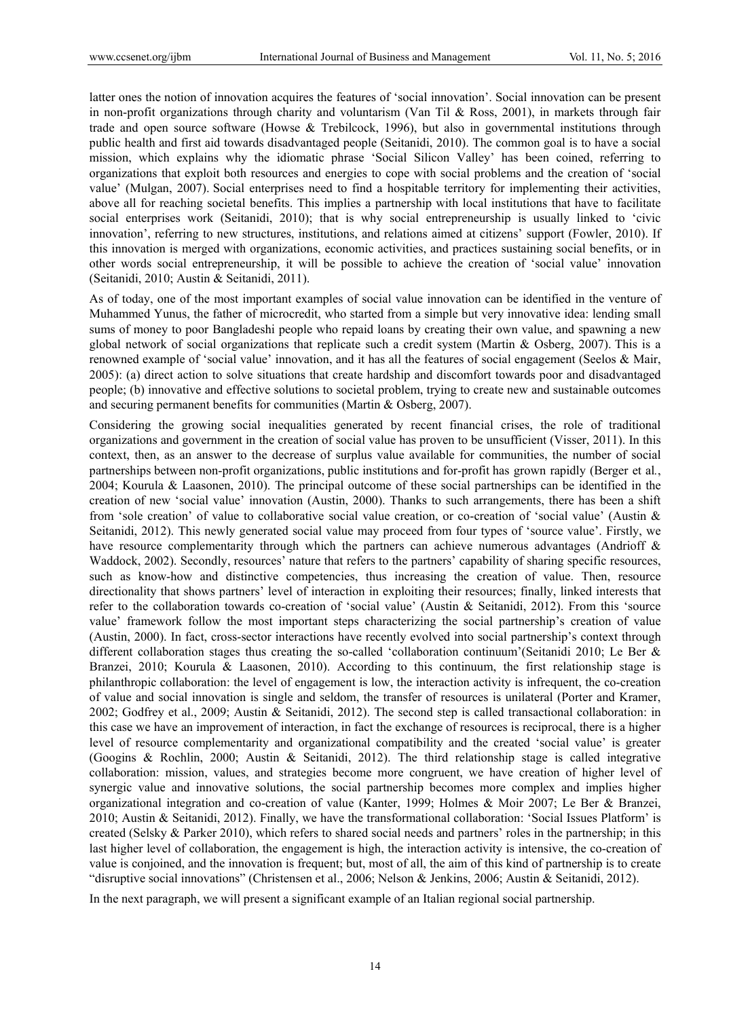latter ones the notion of innovation acquires the features of 'social innovation'. Social innovation can be present in non-profit organizations through charity and voluntarism (Van Til & Ross, 2001), in markets through fair trade and open source software (Howse & Trebilcock, 1996), but also in governmental institutions through public health and first aid towards disadvantaged people (Seitanidi, 2010). The common goal is to have a social mission, which explains why the idiomatic phrase 'Social Silicon Valley' has been coined, referring to organizations that exploit both resources and energies to cope with social problems and the creation of 'social value' (Mulgan, 2007). Social enterprises need to find a hospitable territory for implementing their activities, above all for reaching societal benefits. This implies a partnership with local institutions that have to facilitate social enterprises work (Seitanidi, 2010); that is why social entrepreneurship is usually linked to 'civic innovation', referring to new structures, institutions, and relations aimed at citizens' support (Fowler, 2010). If this innovation is merged with organizations, economic activities, and practices sustaining social benefits, or in other words social entrepreneurship, it will be possible to achieve the creation of 'social value' innovation (Seitanidi, 2010; Austin & Seitanidi, 2011).

As of today, one of the most important examples of social value innovation can be identified in the venture of Muhammed Yunus, the father of microcredit, who started from a simple but very innovative idea: lending small sums of money to poor Bangladeshi people who repaid loans by creating their own value, and spawning a new global network of social organizations that replicate such a credit system (Martin & Osberg, 2007). This is a renowned example of 'social value' innovation, and it has all the features of social engagement (Seelos & Mair, 2005): (a) direct action to solve situations that create hardship and discomfort towards poor and disadvantaged people; (b) innovative and effective solutions to societal problem, trying to create new and sustainable outcomes and securing permanent benefits for communities (Martin & Osberg, 2007).

Considering the growing social inequalities generated by recent financial crises, the role of traditional organizations and government in the creation of social value has proven to be unsufficient (Visser, 2011). In this context, then, as an answer to the decrease of surplus value available for communities, the number of social partnerships between non-profit organizations, public institutions and for-profit has grown rapidly (Berger et al*.*, 2004; Kourula & Laasonen, 2010). The principal outcome of these social partnerships can be identified in the creation of new 'social value' innovation (Austin, 2000). Thanks to such arrangements, there has been a shift from 'sole creation' of value to collaborative social value creation, or co-creation of 'social value' (Austin & Seitanidi, 2012). This newly generated social value may proceed from four types of 'source value'. Firstly, we have resource complementarity through which the partners can achieve numerous advantages (Andrioff & Waddock, 2002). Secondly, resources' nature that refers to the partners' capability of sharing specific resources, such as know-how and distinctive competencies, thus increasing the creation of value. Then, resource directionality that shows partners' level of interaction in exploiting their resources; finally, linked interests that refer to the collaboration towards co-creation of 'social value' (Austin & Seitanidi, 2012). From this 'source value' framework follow the most important steps characterizing the social partnership's creation of value (Austin, 2000). In fact, cross-sector interactions have recently evolved into social partnership's context through different collaboration stages thus creating the so-called 'collaboration continuum'(Seitanidi 2010; Le Ber & Branzei, 2010; Kourula & Laasonen, 2010). According to this continuum, the first relationship stage is philanthropic collaboration: the level of engagement is low, the interaction activity is infrequent, the co-creation of value and social innovation is single and seldom, the transfer of resources is unilateral (Porter and Kramer, 2002; Godfrey et al., 2009; Austin & Seitanidi, 2012). The second step is called transactional collaboration: in this case we have an improvement of interaction, in fact the exchange of resources is reciprocal, there is a higher level of resource complementarity and organizational compatibility and the created 'social value' is greater (Googins & Rochlin, 2000; Austin & Seitanidi, 2012). The third relationship stage is called integrative collaboration: mission, values, and strategies become more congruent, we have creation of higher level of synergic value and innovative solutions, the social partnership becomes more complex and implies higher organizational integration and co-creation of value (Kanter, 1999; Holmes & Moir 2007; Le Ber & Branzei, 2010; Austin & Seitanidi, 2012). Finally, we have the transformational collaboration: 'Social Issues Platform' is created (Selsky  $&$  Parker 2010), which refers to shared social needs and partners' roles in the partnership; in this last higher level of collaboration, the engagement is high, the interaction activity is intensive, the co-creation of value is conjoined, and the innovation is frequent; but, most of all, the aim of this kind of partnership is to create "disruptive social innovations" (Christensen et al., 2006; Nelson & Jenkins, 2006; Austin & Seitanidi, 2012).

In the next paragraph, we will present a significant example of an Italian regional social partnership.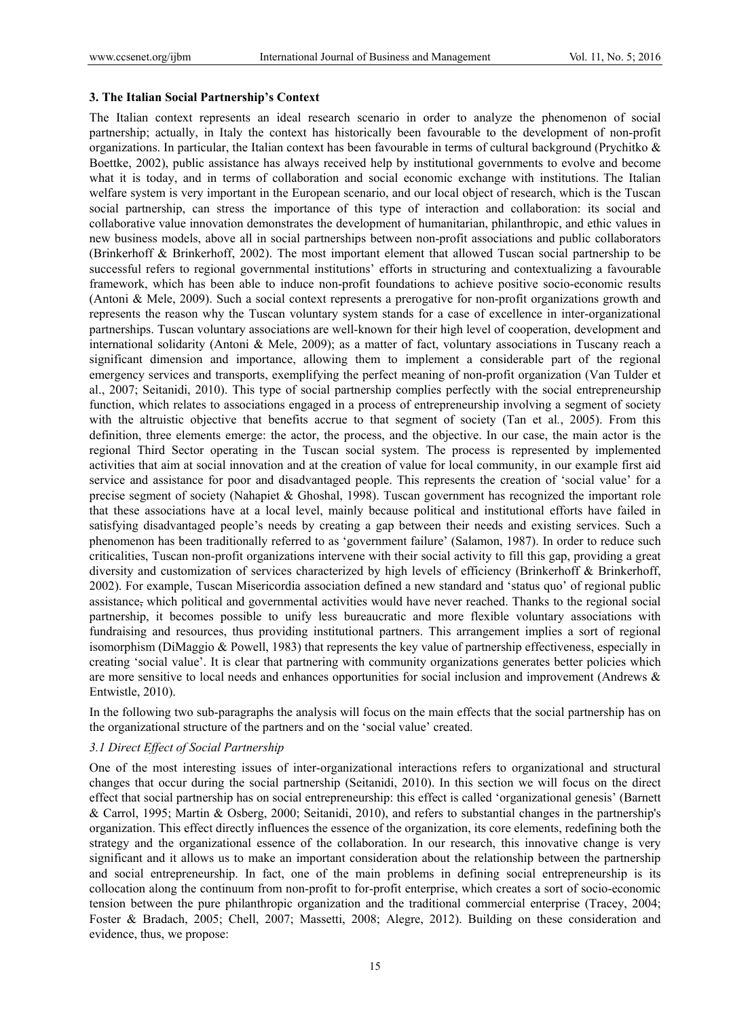#### **3. The Italian Social Partnership's Context**

The Italian context represents an ideal research scenario in order to analyze the phenomenon of social partnership; actually, in Italy the context has historically been favourable to the development of non-profit organizations. In particular, the Italian context has been favourable in terms of cultural background (Prychitko  $\&$ Boettke, 2002), public assistance has always received help by institutional governments to evolve and become what it is today, and in terms of collaboration and social economic exchange with institutions. The Italian welfare system is very important in the European scenario, and our local object of research, which is the Tuscan social partnership, can stress the importance of this type of interaction and collaboration: its social and collaborative value innovation demonstrates the development of humanitarian, philanthropic, and ethic values in new business models, above all in social partnerships between non-profit associations and public collaborators (Brinkerhoff & Brinkerhoff, 2002). The most important element that allowed Tuscan social partnership to be successful refers to regional governmental institutions' efforts in structuring and contextualizing a favourable framework, which has been able to induce non-profit foundations to achieve positive socio-economic results (Antoni & Mele, 2009). Such a social context represents a prerogative for non-profit organizations growth and represents the reason why the Tuscan voluntary system stands for a case of excellence in inter-organizational partnerships. Tuscan voluntary associations are well-known for their high level of cooperation, development and international solidarity (Antoni & Mele, 2009); as a matter of fact, voluntary associations in Tuscany reach a significant dimension and importance, allowing them to implement a considerable part of the regional emergency services and transports, exemplifying the perfect meaning of non-profit organization (Van Tulder et al., 2007; Seitanidi, 2010). This type of social partnership complies perfectly with the social entrepreneurship function, which relates to associations engaged in a process of entrepreneurship involving a segment of society with the altruistic objective that benefits accrue to that segment of society (Tan et al*.*, 2005). From this definition, three elements emerge: the actor, the process, and the objective. In our case, the main actor is the regional Third Sector operating in the Tuscan social system. The process is represented by implemented activities that aim at social innovation and at the creation of value for local community, in our example first aid service and assistance for poor and disadvantaged people. This represents the creation of 'social value' for a precise segment of society (Nahapiet & Ghoshal, 1998). Tuscan government has recognized the important role that these associations have at a local level, mainly because political and institutional efforts have failed in satisfying disadvantaged people's needs by creating a gap between their needs and existing services. Such a phenomenon has been traditionally referred to as 'government failure' (Salamon, 1987). In order to reduce such criticalities, Tuscan non-profit organizations intervene with their social activity to fill this gap, providing a great diversity and customization of services characterized by high levels of efficiency (Brinkerhoff & Brinkerhoff, 2002). For example, Tuscan Misericordia association defined a new standard and 'status quo' of regional public assistance, which political and governmental activities would have never reached. Thanks to the regional social partnership, it becomes possible to unify less bureaucratic and more flexible voluntary associations with fundraising and resources, thus providing institutional partners. This arrangement implies a sort of regional isomorphism (DiMaggio & Powell, 1983) that represents the key value of partnership effectiveness, especially in creating 'social value'. It is clear that partnering with community organizations generates better policies which are more sensitive to local needs and enhances opportunities for social inclusion and improvement (Andrews & Entwistle, 2010).

In the following two sub-paragraphs the analysis will focus on the main effects that the social partnership has on the organizational structure of the partners and on the 'social value' created.

## *3.1 Direct Effect of Social Partnership*

One of the most interesting issues of inter-organizational interactions refers to organizational and structural changes that occur during the social partnership (Seitanidi, 2010). In this section we will focus on the direct effect that social partnership has on social entrepreneurship: this effect is called 'organizational genesis' (Barnett & Carrol, 1995; Martin & Osberg, 2000; Seitanidi, 2010), and refers to substantial changes in the partnership's organization. This effect directly influences the essence of the organization, its core elements, redefining both the strategy and the organizational essence of the collaboration. In our research, this innovative change is very significant and it allows us to make an important consideration about the relationship between the partnership and social entrepreneurship. In fact, one of the main problems in defining social entrepreneurship is its collocation along the continuum from non-profit to for-profit enterprise, which creates a sort of socio-economic tension between the pure philanthropic organization and the traditional commercial enterprise (Tracey, 2004; Foster & Bradach, 2005; Chell, 2007; Massetti, 2008; Alegre, 2012). Building on these consideration and evidence, thus, we propose: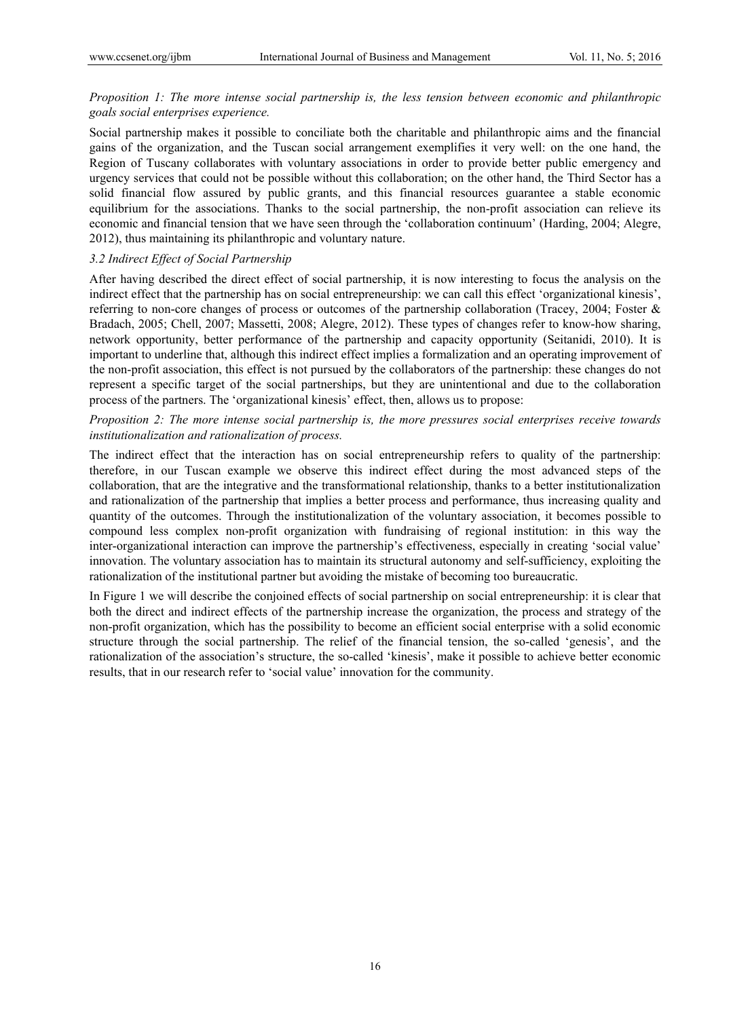# *Proposition 1: The more intense social partnership is, the less tension between economic and philanthropic goals social enterprises experience.*

Social partnership makes it possible to conciliate both the charitable and philanthropic aims and the financial gains of the organization, and the Tuscan social arrangement exemplifies it very well: on the one hand, the Region of Tuscany collaborates with voluntary associations in order to provide better public emergency and urgency services that could not be possible without this collaboration; on the other hand, the Third Sector has a solid financial flow assured by public grants, and this financial resources guarantee a stable economic equilibrium for the associations. Thanks to the social partnership, the non-profit association can relieve its economic and financial tension that we have seen through the 'collaboration continuum' (Harding, 2004; Alegre, 2012), thus maintaining its philanthropic and voluntary nature.

# *3.2 Indirect Effect of Social Partnership*

After having described the direct effect of social partnership, it is now interesting to focus the analysis on the indirect effect that the partnership has on social entrepreneurship: we can call this effect 'organizational kinesis', referring to non-core changes of process or outcomes of the partnership collaboration (Tracey, 2004; Foster & Bradach, 2005; Chell, 2007; Massetti, 2008; Alegre, 2012). These types of changes refer to know-how sharing, network opportunity, better performance of the partnership and capacity opportunity (Seitanidi, 2010). It is important to underline that, although this indirect effect implies a formalization and an operating improvement of the non-profit association, this effect is not pursued by the collaborators of the partnership: these changes do not represent a specific target of the social partnerships, but they are unintentional and due to the collaboration process of the partners. The 'organizational kinesis' effect, then, allows us to propose:

## *Proposition 2: The more intense social partnership is, the more pressures social enterprises receive towards institutionalization and rationalization of process.*

The indirect effect that the interaction has on social entrepreneurship refers to quality of the partnership: therefore, in our Tuscan example we observe this indirect effect during the most advanced steps of the collaboration, that are the integrative and the transformational relationship, thanks to a better institutionalization and rationalization of the partnership that implies a better process and performance, thus increasing quality and quantity of the outcomes. Through the institutionalization of the voluntary association, it becomes possible to compound less complex non-profit organization with fundraising of regional institution: in this way the inter-organizational interaction can improve the partnership's effectiveness, especially in creating 'social value' innovation. The voluntary association has to maintain its structural autonomy and self-sufficiency, exploiting the rationalization of the institutional partner but avoiding the mistake of becoming too bureaucratic.

In Figure 1 we will describe the conjoined effects of social partnership on social entrepreneurship: it is clear that both the direct and indirect effects of the partnership increase the organization, the process and strategy of the non-profit organization, which has the possibility to become an efficient social enterprise with a solid economic structure through the social partnership. The relief of the financial tension, the so-called 'genesis', and the rationalization of the association's structure, the so-called 'kinesis', make it possible to achieve better economic results, that in our research refer to 'social value' innovation for the community.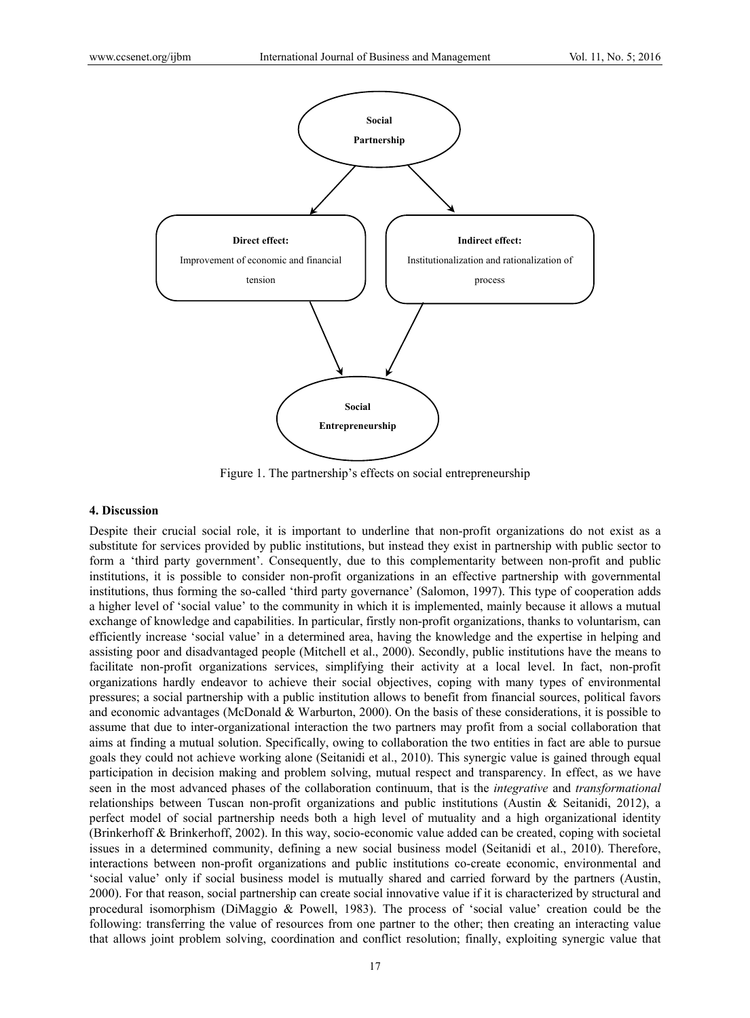

Figure 1. The partnership's effects on social entrepreneurship

#### **4. Discussion**

Despite their crucial social role, it is important to underline that non-profit organizations do not exist as a substitute for services provided by public institutions, but instead they exist in partnership with public sector to form a 'third party government'. Consequently, due to this complementarity between non-profit and public institutions, it is possible to consider non-profit organizations in an effective partnership with governmental institutions, thus forming the so-called 'third party governance' (Salomon, 1997). This type of cooperation adds a higher level of 'social value' to the community in which it is implemented, mainly because it allows a mutual exchange of knowledge and capabilities. In particular, firstly non-profit organizations, thanks to voluntarism, can efficiently increase 'social value' in a determined area, having the knowledge and the expertise in helping and assisting poor and disadvantaged people (Mitchell et al., 2000). Secondly, public institutions have the means to facilitate non-profit organizations services, simplifying their activity at a local level. In fact, non-profit organizations hardly endeavor to achieve their social objectives, coping with many types of environmental pressures; a social partnership with a public institution allows to benefit from financial sources, political favors and economic advantages (McDonald & Warburton, 2000). On the basis of these considerations, it is possible to assume that due to inter-organizational interaction the two partners may profit from a social collaboration that aims at finding a mutual solution. Specifically, owing to collaboration the two entities in fact are able to pursue goals they could not achieve working alone (Seitanidi et al., 2010). This synergic value is gained through equal participation in decision making and problem solving, mutual respect and transparency. In effect, as we have seen in the most advanced phases of the collaboration continuum, that is the *integrative* and *transformational* relationships between Tuscan non-profit organizations and public institutions (Austin & Seitanidi, 2012), a perfect model of social partnership needs both a high level of mutuality and a high organizational identity (Brinkerhoff & Brinkerhoff, 2002). In this way, socio-economic value added can be created, coping with societal issues in a determined community, defining a new social business model (Seitanidi et al., 2010). Therefore, interactions between non-profit organizations and public institutions co-create economic, environmental and 'social value' only if social business model is mutually shared and carried forward by the partners (Austin, 2000). For that reason, social partnership can create social innovative value if it is characterized by structural and procedural isomorphism (DiMaggio & Powell, 1983). The process of 'social value' creation could be the following: transferring the value of resources from one partner to the other; then creating an interacting value that allows joint problem solving, coordination and conflict resolution; finally, exploiting synergic value that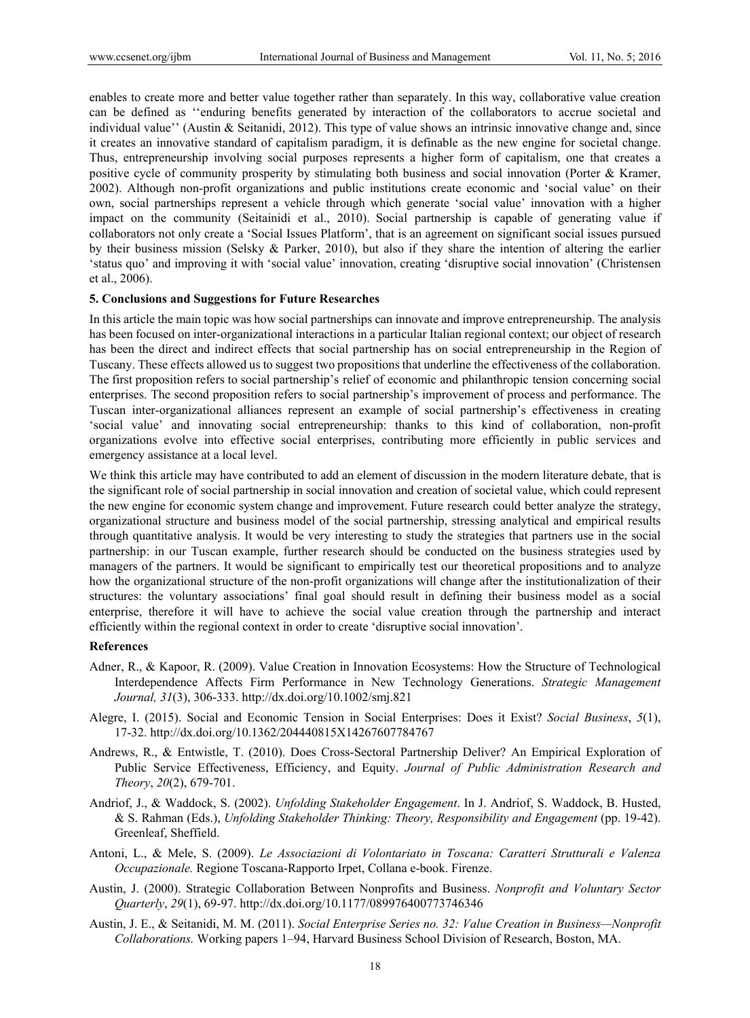enables to create more and better value together rather than separately. In this way, collaborative value creation can be defined as ''enduring benefits generated by interaction of the collaborators to accrue societal and individual value'' (Austin & Seitanidi, 2012). This type of value shows an intrinsic innovative change and, since it creates an innovative standard of capitalism paradigm, it is definable as the new engine for societal change. Thus, entrepreneurship involving social purposes represents a higher form of capitalism, one that creates a positive cycle of community prosperity by stimulating both business and social innovation (Porter & Kramer, 2002). Although non-profit organizations and public institutions create economic and 'social value' on their own, social partnerships represent a vehicle through which generate 'social value' innovation with a higher impact on the community (Seitainidi et al., 2010). Social partnership is capable of generating value if collaborators not only create a 'Social Issues Platform', that is an agreement on significant social issues pursued by their business mission (Selsky & Parker, 2010), but also if they share the intention of altering the earlier 'status quo' and improving it with 'social value' innovation, creating 'disruptive social innovation' (Christensen et al., 2006).

## **5. Conclusions and Suggestions for Future Researches**

In this article the main topic was how social partnerships can innovate and improve entrepreneurship. The analysis has been focused on inter-organizational interactions in a particular Italian regional context; our object of research has been the direct and indirect effects that social partnership has on social entrepreneurship in the Region of Tuscany. These effects allowed us to suggest two propositions that underline the effectiveness of the collaboration. The first proposition refers to social partnership's relief of economic and philanthropic tension concerning social enterprises. The second proposition refers to social partnership's improvement of process and performance. The Tuscan inter-organizational alliances represent an example of social partnership's effectiveness in creating 'social value' and innovating social entrepreneurship: thanks to this kind of collaboration, non-profit organizations evolve into effective social enterprises, contributing more efficiently in public services and emergency assistance at a local level.

We think this article may have contributed to add an element of discussion in the modern literature debate, that is the significant role of social partnership in social innovation and creation of societal value, which could represent the new engine for economic system change and improvement. Future research could better analyze the strategy, organizational structure and business model of the social partnership, stressing analytical and empirical results through quantitative analysis. It would be very interesting to study the strategies that partners use in the social partnership: in our Tuscan example, further research should be conducted on the business strategies used by managers of the partners. It would be significant to empirically test our theoretical propositions and to analyze how the organizational structure of the non-profit organizations will change after the institutionalization of their structures: the voluntary associations' final goal should result in defining their business model as a social enterprise, therefore it will have to achieve the social value creation through the partnership and interact efficiently within the regional context in order to create 'disruptive social innovation'.

#### **References**

- Adner, R., & Kapoor, R. (2009). Value Creation in Innovation Ecosystems: How the Structure of Technological Interdependence Affects Firm Performance in New Technology Generations. *Strategic Management Journal, 31*(3), 306-333. http://dx.doi.org/10.1002/smj.821
- Alegre, I. (2015). Social and Economic Tension in Social Enterprises: Does it Exist? *Social Business*, *5*(1), 17-32. http://dx.doi.org/10.1362/204440815X14267607784767
- Andrews, R., & Entwistle, T. (2010). Does Cross-Sectoral Partnership Deliver? An Empirical Exploration of Public Service Effectiveness, Efficiency, and Equity. *Journal of Public Administration Research and Theory*, *20*(2), 679-701.
- Andriof, J., & Waddock, S. (2002). *Unfolding Stakeholder Engagement*. In J. Andriof, S. Waddock, B. Husted, & S. Rahman (Eds.), *Unfolding Stakeholder Thinking: Theory, Responsibility and Engagement* (pp. 19-42). Greenleaf, Sheffield.
- Antoni, L., & Mele, S. (2009). *Le Associazioni di Volontariato in Toscana: Caratteri Strutturali e Valenza Occupazionale.* Regione Toscana-Rapporto Irpet, Collana e-book. Firenze.
- Austin, J. (2000). Strategic Collaboration Between Nonprofits and Business. *Nonprofit and Voluntary Sector Quarterly*, *29*(1), 69-97. http://dx.doi.org/10.1177/089976400773746346
- Austin, J. E., & Seitanidi, M. M. (2011). *Social Enterprise Series no. 32: Value Creation in Business—Nonprofit Collaborations.* Working papers 1–94, Harvard Business School Division of Research, Boston, MA.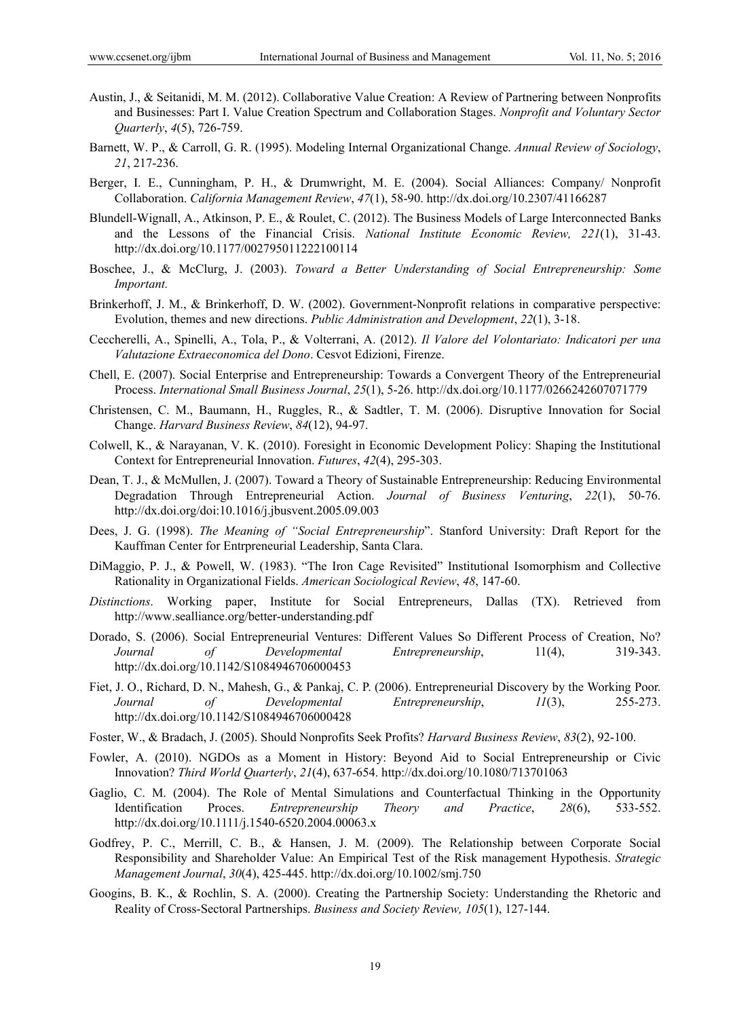- Austin, J., & Seitanidi, M. M. (2012). Collaborative Value Creation: A Review of Partnering between Nonprofits and Businesses: Part I. Value Creation Spectrum and Collaboration Stages. *Nonprofit and Voluntary Sector Quarterly*, *4*(5), 726-759.
- Barnett, W. P., & Carroll, G. R. (1995). Modeling Internal Organizational Change. *Annual Review of Sociology*, *21*, 217-236.
- Berger, I. E., Cunningham, P. H., & Drumwright, M. E. (2004). Social Alliances: Company/ Nonprofit Collaboration. *California Management Review*, *47*(1), 58-90. http://dx.doi.org/10.2307/41166287
- Blundell-Wignall, A., Atkinson, P. E., & Roulet, C. (2012). The Business Models of Large Interconnected Banks and the Lessons of the Financial Crisis. *National Institute Economic Review, 221*(1), 31-43. http://dx.doi.org/10.1177/002795011222100114
- Boschee, J., & McClurg, J. (2003). *Toward a Better Understanding of Social Entrepreneurship: Some Important.*
- Brinkerhoff, J. M., & Brinkerhoff, D. W. (2002). Government-Nonprofit relations in comparative perspective: Evolution, themes and new directions. *Public Administration and Development*, *22*(1), 3-18.
- Ceccherelli, A., Spinelli, A., Tola, P., & Volterrani, A. (2012). *Il Valore del Volontariato: Indicatori per una Valutazione Extraeconomica del Dono*. Cesvot Edizioni, Firenze.
- Chell, E. (2007). Social Enterprise and Entrepreneurship: Towards a Convergent Theory of the Entrepreneurial Process. *International Small Business Journal*, *25*(1), 5-26. http://dx.doi.org/10.1177/0266242607071779
- Christensen, C. M., Baumann, H., Ruggles, R., & Sadtler, T. M. (2006). Disruptive Innovation for Social Change. *Harvard Business Review*, *84*(12), 94-97.
- Colwell, K., & Narayanan, V. K. (2010). Foresight in Economic Development Policy: Shaping the Institutional Context for Entrepreneurial Innovation. *Futures*, *42*(4), 295-303.
- Dean, T. J., & McMullen, J. (2007). Toward a Theory of Sustainable Entrepreneurship: Reducing Environmental Degradation Through Entrepreneurial Action. *Journal of Business Venturing*, *22*(1), 50-76. http://dx.doi.org/doi:10.1016/j.jbusvent.2005.09.003
- Dees, J. G. (1998). *The Meaning of "Social Entrepreneurship*". Stanford University: Draft Report for the Kauffman Center for Entrpreneurial Leadership, Santa Clara.
- DiMaggio, P. J., & Powell, W. (1983). "The Iron Cage Revisited" Institutional Isomorphism and Collective Rationality in Organizational Fields. *American Sociological Review*, *48*, 147-60.
- *Distinctions*. Working paper, Institute for Social Entrepreneurs, Dallas (TX). Retrieved from http://www.sealliance.org/better-understanding.pdf
- Dorado, S. (2006). Social Entrepreneurial Ventures: Different Values So Different Process of Creation, No? *Journal of Developmental Entrepreneurship*, 11(4), 319-343. http://dx.doi.org/10.1142/S1084946706000453
- Fiet, J. O., Richard, D. N., Mahesh, G., & Pankaj, C. P. (2006). Entrepreneurial Discovery by the Working Poor. *Journal of Developmental Entrepreneurship*, *11*(3), 255-273. http://dx.doi.org/10.1142/S1084946706000428
- Foster, W., & Bradach, J. (2005). Should Nonprofits Seek Profits? *Harvard Business Review*, *83*(2), 92-100.
- Fowler, A. (2010). NGDOs as a Moment in History: Beyond Aid to Social Entrepreneurship or Civic Innovation? *Third World Quarterly*, *21*(4), 637-654. http://dx.doi.org/10.1080/713701063
- Gaglio, C. M. (2004). The Role of Mental Simulations and Counterfactual Thinking in the Opportunity Identification Proces. *Entrepreneurship Theory and Practice*, *28*(6), 533-552. http://dx.doi.org/10.1111/j.1540-6520.2004.00063.x
- Godfrey, P. C., Merrill, C. B., & Hansen, J. M. (2009). The Relationship between Corporate Social Responsibility and Shareholder Value: An Empirical Test of the Risk management Hypothesis. *Strategic Management Journal*, *30*(4), 425-445. http://dx.doi.org/10.1002/smj.750
- Googins, B. K., & Rochlin, S. A. (2000). Creating the Partnership Society: Understanding the Rhetoric and Reality of Cross-Sectoral Partnerships. *Business and Society Review, 105*(1), 127-144.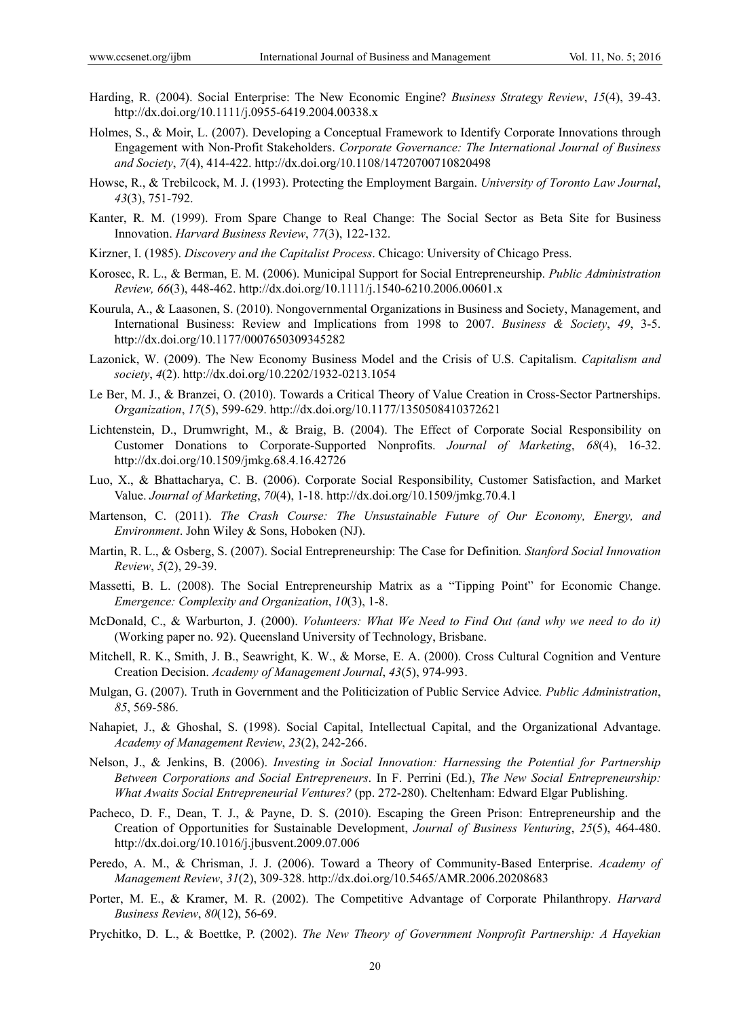- Harding, R. (2004). Social Enterprise: The New Economic Engine? *Business Strategy Review*, *15*(4), 39-43. http://dx.doi.org/10.1111/j.0955-6419.2004.00338.x
- Holmes, S., & Moir, L. (2007). Developing a Conceptual Framework to Identify Corporate Innovations through Engagement with Non-Profit Stakeholders. *Corporate Governance: The International Journal of Business and Society*, *7*(4), 414-422. http://dx.doi.org/10.1108/14720700710820498
- Howse, R., & Trebilcock, M. J. (1993). Protecting the Employment Bargain. *University of Toronto Law Journal*, *43*(3), 751-792.
- Kanter, R. M. (1999). From Spare Change to Real Change: The Social Sector as Beta Site for Business Innovation. *Harvard Business Review*, *77*(3), 122-132.
- Kirzner, I. (1985). *Discovery and the Capitalist Process*. Chicago: University of Chicago Press.
- Korosec, R. L., & Berman, E. M. (2006). Municipal Support for Social Entrepreneurship. *Public Administration Review, 66*(3), 448-462. http://dx.doi.org/10.1111/j.1540-6210.2006.00601.x
- Kourula, A., & Laasonen, S. (2010). Nongovernmental Organizations in Business and Society, Management, and International Business: Review and Implications from 1998 to 2007. *Business & Society*, *49*, 3-5. http://dx.doi.org/10.1177/0007650309345282
- Lazonick, W. (2009). The New Economy Business Model and the Crisis of U.S. Capitalism. *Capitalism and society*, *4*(2). http://dx.doi.org/10.2202/1932-0213.1054
- Le Ber, M. J., & Branzei, O. (2010). Towards a Critical Theory of Value Creation in Cross-Sector Partnerships. *Organization*, *17*(5), 599-629. http://dx.doi.org/10.1177/1350508410372621
- Lichtenstein, D., Drumwright, M., & Braig, B. (2004). The Effect of Corporate Social Responsibility on Customer Donations to Corporate-Supported Nonprofits. *Journal of Marketing*, *68*(4), 16-32. http://dx.doi.org/10.1509/jmkg.68.4.16.42726
- Luo, X., & Bhattacharya, C. B. (2006). Corporate Social Responsibility, Customer Satisfaction, and Market Value. *Journal of Marketing*, *70*(4), 1-18. http://dx.doi.org/10.1509/jmkg.70.4.1
- Martenson, C. (2011). *The Crash Course: The Unsustainable Future of Our Economy, Energy, and Environment*. John Wiley & Sons, Hoboken (NJ).
- Martin, R. L., & Osberg, S. (2007). Social Entrepreneurship: The Case for Definition*. Stanford Social Innovation Review*, *5*(2), 29-39.
- Massetti, B. L. (2008). The Social Entrepreneurship Matrix as a "Tipping Point" for Economic Change. *Emergence: Complexity and Organization*, *10*(3), 1-8.
- McDonald, C., & Warburton, J. (2000). *Volunteers: What We Need to Find Out (and why we need to do it)* (Working paper no. 92). Queensland University of Technology, Brisbane.
- Mitchell, R. K., Smith, J. B., Seawright, K. W., & Morse, E. A. (2000). Cross Cultural Cognition and Venture Creation Decision. *Academy of Management Journal*, *43*(5), 974-993.
- Mulgan, G. (2007). Truth in Government and the Politicization of Public Service Advice*. Public Administration*, *85*, 569-586.
- Nahapiet, J., & Ghoshal, S. (1998). Social Capital, Intellectual Capital, and the Organizational Advantage. *Academy of Management Review*, *23*(2), 242-266.
- Nelson, J., & Jenkins, B. (2006). *Investing in Social Innovation: Harnessing the Potential for Partnership Between Corporations and Social Entrepreneurs*. In F. Perrini (Ed.), *The New Social Entrepreneurship: What Awaits Social Entrepreneurial Ventures?* (pp. 272-280). Cheltenham: Edward Elgar Publishing.
- Pacheco, D. F., Dean, T. J., & Payne, D. S. (2010). Escaping the Green Prison: Entrepreneurship and the Creation of Opportunities for Sustainable Development, *Journal of Business Venturing*, *25*(5), 464-480. http://dx.doi.org/10.1016/j.jbusvent.2009.07.006
- Peredo, A. M., & Chrisman, J. J. (2006). Toward a Theory of Community-Based Enterprise. *Academy of Management Review*, *31*(2), 309-328. http://dx.doi.org/10.5465/AMR.2006.20208683
- Porter, M. E., & Kramer, M. R. (2002). The Competitive Advantage of Corporate Philanthropy. *Harvard Business Review*, *80*(12), 56-69.
- Prychitko, D. L., & Boettke, P. (2002). *The New Theory of Government Nonprofit Partnership: A Hayekian*